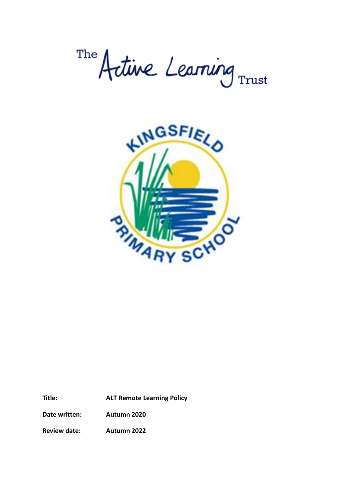The Artine Learning Trust



**Title: ALT Remote Learning Policy**

**Date written: Autumn 2020**

**Review date: Autumn 2022**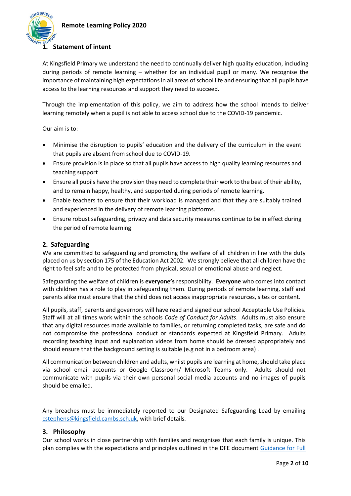

## **1. Statement of intent**

At Kingsfield Primary we understand the need to continually deliver high quality education, including during periods of remote learning – whether for an individual pupil or many. We recognise the importance of maintaining high expectations in all areas of school life and ensuring that all pupils have access to the learning resources and support they need to succeed.

Through the implementation of this policy, we aim to address how the school intends to deliver learning remotely when a pupil is not able to access school due to the COVID-19 pandemic.

Our aim is to:

- Minimise the disruption to pupils' education and the delivery of the curriculum in the event that pupils are absent from school due to COVID-19.
- Ensure provision is in place so that all pupils have access to high quality learning resources and teaching support
- Ensure all pupils have the provision they need to complete their work to the best of their ability, and to remain happy, healthy, and supported during periods of remote learning.
- Enable teachers to ensure that their workload is managed and that they are suitably trained and experienced in the delivery of remote learning platforms.
- Ensure robust safeguarding, privacy and data security measures continue to be in effect during the period of remote learning.

### **2. Safeguarding**

We are committed to safeguarding and promoting the welfare of all children in line with the duty placed on us by section 175 of the Education Act 2002. We strongly believe that all children have the right to feel safe and to be protected from physical, sexual or emotional abuse and neglect.

Safeguarding the welfare of children is **everyone's** responsibility. **Everyone** who comes into contact with children has a role to play in safeguarding them. During periods of remote learning, staff and parents alike must ensure that the child does not access inappropriate resources, sites or content.

All pupils, staff, parents and governors will have read and signed our school Acceptable Use Policies. Staff will at all times work within the schools *Code of Conduct for Adults*. Adults must also ensure that any digital resources made available to families, or returning completed tasks, are safe and do not compromise the professional conduct or standards expected at Kingsfield Primary. Adults recording teaching input and explanation videos from home should be dressed appropriately and should ensure that the background setting is suitable (e.g not in a bedroom area) .

All communication between children and adults, whilst pupils are learning at home, should take place via school email accounts or Google Classroom/ Microsoft Teams only. Adults should not communicate with pupils via their own personal social media accounts and no images of pupils should be emailed.

Any breaches must be immediately reported to our Designated Safeguarding Lead by emailing cstephens@kingsfield.cambs.sch.uk, with brief details.

#### **3. Philosophy**

Our school works in close partnership with families and recognises that each family is unique. This plan complies with the expectations and principles outlined in the DFE document [Guidance for Full](https://www.gov.uk/government/publications/actions-for-schools-during-the-coronavirus-outbreak/guidance-for-full-opening-schools#res)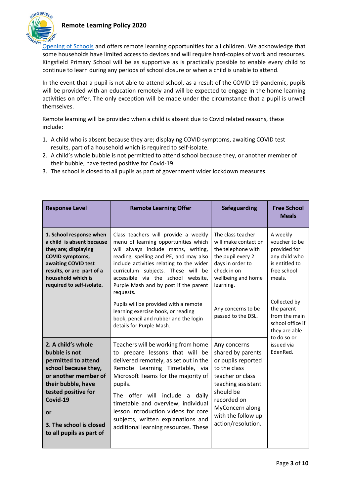

[Opening of Schools](https://www.gov.uk/government/publications/actions-for-schools-during-the-coronavirus-outbreak/guidance-for-full-opening-schools#res) and offers remote learning opportunities for all children. We acknowledge that some households have limited access to devices and will require hard-copies of work and resources. Kingsfield Primary School will be as supportive as is practically possible to enable every child to continue to learn during any periods of school closure or when a child is unable to attend.

In the event that a pupil is not able to attend school, as a result of the COVID-19 pandemic, pupils will be provided with an education remotely and will be expected to engage in the home learning activities on offer. The only exception will be made under the circumstance that a pupil is unwell themselves.

Remote learning will be provided when a child is absent due to Covid related reasons, these include:

- 1. A child who is absent because they are; displaying COVID symptoms, awaiting COVID test results, part of a household which is required to self-isolate.
- 2. A child's whole bubble is not permitted to attend school because they, or another member of their bubble, have tested positive for Covid-19.
- 3. The school is closed to all pupils as part of government wider lockdown measures.

| <b>Response Level</b>                                                                                                                                                                                                            | <b>Remote Learning Offer</b>                                                                                                                                                                                                                                                                                                                                                                                                                                                                    | <b>Safeguarding</b>                                                                                                                                                                                          | <b>Free School</b><br><b>Meals</b>                                                                                                                                                                                                 |
|----------------------------------------------------------------------------------------------------------------------------------------------------------------------------------------------------------------------------------|-------------------------------------------------------------------------------------------------------------------------------------------------------------------------------------------------------------------------------------------------------------------------------------------------------------------------------------------------------------------------------------------------------------------------------------------------------------------------------------------------|--------------------------------------------------------------------------------------------------------------------------------------------------------------------------------------------------------------|------------------------------------------------------------------------------------------------------------------------------------------------------------------------------------------------------------------------------------|
| 1. School response when<br>a child is absent because<br>they are; displaying<br><b>COVID symptoms,</b><br>awaiting COVID test<br>results, or are part of a<br>household which is<br>required to self-isolate.                    | Class teachers will provide a weekly<br>menu of learning opportunities which<br>will always include maths, writing,<br>reading, spelling and PE, and may also<br>include activities relating to the wider<br>curriculum subjects. These will be<br>accessible via the school website,<br>Purple Mash and by post if the parent<br>requests.<br>Pupils will be provided with a remote<br>learning exercise book, or reading<br>book, pencil and rubber and the login<br>details for Purple Mash. | The class teacher<br>will make contact on<br>the telephone with<br>the pupil every 2<br>days in order to<br>check in on<br>wellbeing and home<br>learning.<br>Any concerns to be<br>passed to the DSL.       | A weekly<br>voucher to be<br>provided for<br>any child who<br>is entitled to<br>free school<br>meals.<br>Collected by<br>the parent<br>from the main<br>school office if<br>they are able<br>to do so or<br>issued via<br>EdenRed. |
| 2. A child's whole<br>bubble is not<br>permitted to attend<br>school because they,<br>or another member of<br>their bubble, have<br>tested positive for<br>Covid-19<br>or<br>3. The school is closed<br>to all pupils as part of | Teachers will be working from home<br>to prepare lessons that will be<br>delivered remotely, as set out in the<br>Remote Learning Timetable, via<br>Microsoft Teams for the majority of<br>pupils.<br>The offer will include a<br>daily<br>timetable and overview, individual<br>lesson introduction videos for core<br>subjects, written explanations and<br>additional learning resources. These                                                                                              | Any concerns<br>shared by parents<br>or pupils reported<br>to the class<br>teacher or class<br>teaching assistant<br>should be<br>recorded on<br>MyConcern along<br>with the follow up<br>action/resolution. |                                                                                                                                                                                                                                    |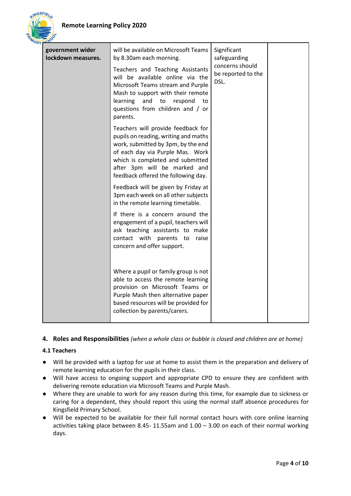

| government wider<br>lockdown measures. | will be available on Microsoft Teams<br>by 8.30am each morning.<br>Teachers and Teaching Assistants<br>will be available online via the<br>Microsoft Teams stream and Purple<br>Mash to support with their remote<br>and<br>learning<br>to<br>respond<br>to<br>questions from children and / or<br>parents. | Significant<br>safeguarding<br>concerns should<br>be reported to the<br>DSL. |  |
|----------------------------------------|-------------------------------------------------------------------------------------------------------------------------------------------------------------------------------------------------------------------------------------------------------------------------------------------------------------|------------------------------------------------------------------------------|--|
|                                        | Teachers will provide feedback for<br>pupils on reading, writing and maths<br>work, submitted by 3pm, by the end<br>of each day via Purple Mas. Work<br>which is completed and submitted<br>after 3pm will be marked and<br>feedback offered the following day.                                             |                                                                              |  |
|                                        | Feedback will be given by Friday at<br>3pm each week on all other subjects<br>in the remote learning timetable.                                                                                                                                                                                             |                                                                              |  |
|                                        | If there is a concern around the<br>engagement of a pupil, teachers will<br>ask teaching assistants to make<br>contact with parents to<br>raise<br>concern and offer support.                                                                                                                               |                                                                              |  |
|                                        | Where a pupil or family group is not<br>able to access the remote learning<br>provision on Microsoft Teams or<br>Purple Mash then alternative paper<br>based resources will be provided for<br>collection by parents/carers.                                                                                |                                                                              |  |

## **4. Roles and Responsibilities** *(when a whole class or bubble is closed and children are at home)*

## **4.1 Teachers**

- Will be provided with a laptop for use at home to assist them in the preparation and delivery of remote learning education for the pupils in their class.
- Will have access to ongoing support and appropriate CPD to ensure they are confident with delivering remote education via Microsoft Teams and Purple Mash.
- Where they are unable to work for any reason during this time, for example due to sickness or caring for a dependent, they should report this using the normal staff absence procedures for Kingsfield Primary School.
- Will be expected to be available for their full normal contact hours with core online learning activities taking place between 8.45- 11.55am and 1.00 – 3.00 on each of their normal working days.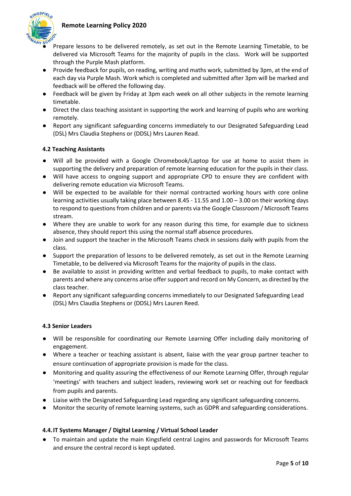

- Prepare lessons to be delivered remotely, as set out in the Remote Learning Timetable, to be delivered via Microsoft Teams for the majority of pupils in the class. Work will be supported through the Purple Mash platform.
- Provide feedback for pupils, on reading, writing and maths work, submitted by 3pm, at the end of each day via Purple Mash. Work which is completed and submitted after 3pm will be marked and feedback will be offered the following day.
- Feedback will be given by Friday at 3pm each week on all other subjects in the remote learning timetable.
- Direct the class teaching assistant in supporting the work and learning of pupils who are working remotely.
- Report any significant safeguarding concerns immediately to our Designated Safeguarding Lead (DSL) Mrs Claudia Stephens or (DDSL) Mrs Lauren Read.

### **4.2 Teaching Assistants**

- Will all be provided with a Google Chromebook/Laptop for use at home to assist them in supporting the delivery and preparation of remote learning education for the pupils in their class.
- Will have access to ongoing support and appropriate CPD to ensure they are confident with delivering remote education via Microsoft Teams.
- Will be expected to be available for their normal contracted working hours with core online learning activities usually taking place between 8.45 - 11.55 and 1.00 – 3.00 on their working days to respond to questions from children and or parents via the Google Classroom / Microsoft Teams stream.
- Where they are unable to work for any reason during this time, for example due to sickness absence, they should report this using the normal staff absence procedures.
- Join and support the teacher in the Microsoft Teams check in sessions daily with pupils from the class.
- Support the preparation of lessons to be delivered remotely, as set out in the Remote Learning Timetable, to be delivered via Microsoft Teams for the majority of pupils in the class.
- Be available to assist in providing written and verbal feedback to pupils, to make contact with parents and where any concerns arise offer support and record on My Concern, as directed by the class teacher.
- Report any significant safeguarding concerns immediately to our Designated Safeguarding Lead (DSL) Mrs Claudia Stephens or (DDSL) Mrs Lauren Reed.

#### **4.3 Senior Leaders**

- Will be responsible for coordinating our Remote Learning Offer including daily monitoring of engagement.
- Where a teacher or teaching assistant is absent, liaise with the year group partner teacher to ensure continuation of appropriate provision is made for the class.
- Monitoring and quality assuring the effectiveness of our Remote Learning Offer, through regular 'meetings' with teachers and subject leaders, reviewing work set or reaching out for feedback from pupils and parents.
- Liaise with the Designated Safeguarding Lead regarding any significant safeguarding concerns.
- Monitor the security of remote learning systems, such as GDPR and safeguarding considerations.

#### **4.4.IT Systems Manager / Digital Learning / Virtual School Leader**

● To maintain and update the main Kingsfield central Logins and passwords for Microsoft Teams and ensure the central record is kept updated.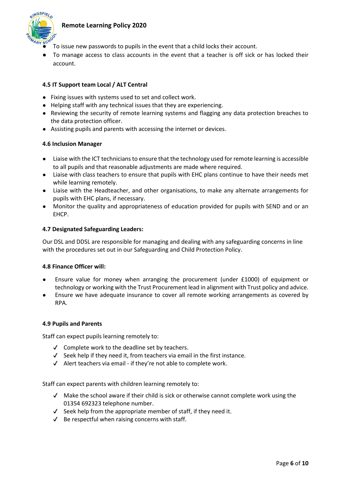

- To issue new passwords to pupils in the event that a child locks their account.
- To manage access to class accounts in the event that a teacher is off sick or has locked their account.

## **4.5 IT Support team Local / ALT Central**

- Fixing issues with systems used to set and collect work.
- Helping staff with any technical issues that they are experiencing.
- Reviewing the security of remote learning systems and flagging any data protection breaches to the data protection officer.
- Assisting pupils and parents with accessing the internet or devices.

### **4.6 Inclusion Manager**

- Liaise with the ICT technicians to ensure that the technology used for remote learning is accessible to all pupils and that reasonable adjustments are made where required.
- Liaise with class teachers to ensure that pupils with EHC plans continue to have their needs met while learning remotely.
- Liaise with the Headteacher, and other organisations, to make any alternate arrangements for pupils with EHC plans, if necessary.
- Monitor the quality and appropriateness of education provided for pupils with SEND and or an EHCP.

## **4.7 Designated Safeguarding Leaders:**

Our DSL and DDSL are responsible for managing and dealing with any safeguarding concerns in line with the procedures set out in our Safeguarding and Child Protection Policy.

#### **4.8 Finance Officer will:**

- Ensure value for money when arranging the procurement (under  $£1000$ ) of equipment or technology or working with the Trust Procurement lead in alignment with Trust policy and advice.
- Ensure we have adequate insurance to cover all remote working arrangements as covered by RPA.

#### **4.9 Pupils and Parents**

Staff can expect pupils learning remotely to:

- ✔ Complete work to the deadline set by teachers.
- $\checkmark$  Seek help if they need it, from teachers via email in the first instance.
- ✔ Alert teachers via email if they're not able to complete work.

Staff can expect parents with children learning remotely to:

- ✔ Make the school aware if their child is sick or otherwise cannot complete work using the 01354 692323 telephone number.
- $\checkmark$  Seek help from the appropriate member of staff, if they need it.
- $\checkmark$  Be respectful when raising concerns with staff.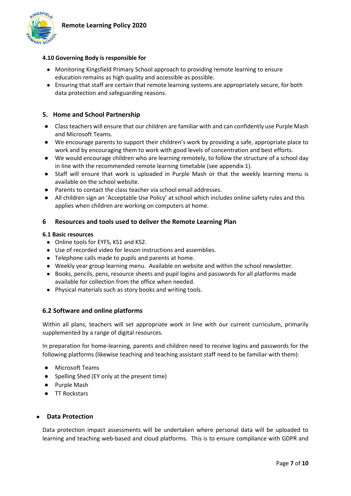

## **4.10 Governing Body is responsible for**

- Monitoring Kingsfield Primary School approach to providing remote learning to ensure education remains as high quality and accessible as possible.
- Ensuring that staff are certain that remote learning systems are appropriately secure, for both data protection and safeguarding reasons.

### **5. Home and School Partnership**

- Class teachers will ensure that our children are familiar with and can confidently use Purple Mash and Microsoft Teams.
- We encourage parents to support their children's work by providing a safe, appropriate place to work and by encouraging them to work with good levels of concentration and best efforts.
- We would encourage children who are learning remotely, to follow the structure of a school day in line with the recommended remote learning timetable (see appendix 1).
- Staff will ensure that work is uploaded in Purple Mash or that the weekly learning menu is available on the school website.
- Parents to contact the class teacher via school email addresses.
- All children sign an 'Acceptable Use Policy' at school which includes online safety rules and this applies when children are working on computers at home.

### **6 Resources and tools used to deliver the Remote Learning Plan**

#### **6.1 Basic resources**

- Online tools for EYFS, KS1 and KS2.
- Use of recorded video for lesson instructions and assemblies.
- Telephone calls made to pupils and parents at home.
- Weekly year group learning menu. Available on website and within the school newsletter.
- Books, pencils, pens, resource sheets and pupil logins and passwords for all platforms made available for collection from the office when needed.
- Physical materials such as story books and writing tools.

#### **6.2 Software and online platforms**

Within all plans, teachers will set appropriate work in line with our current curriculum, primarily supplemented by a range of digital resources.

In preparation for home-learning, parents and children need to receive logins and passwords for the following platforms (likewise teaching and teaching assistant staff need to be familiar with them):

- Microsoft Teams
- Spelling Shed (EY only at the present time)
- Purple Mash
- TT Rockstars

#### ● **Data Protection**

Data protection impact assessments will be undertaken where personal data will be uploaded to learning and teaching web-based and cloud platforms. This is to ensure compliance with GDPR and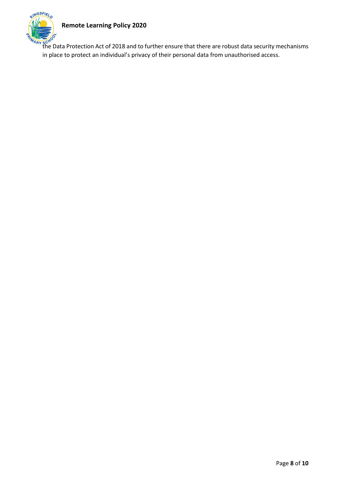

 $\frac{M_{\rm A_{\rm F}} \rm{K}^{CO}}{M_{\rm A_{\rm F}} \rm{K}^{CO}}$  the Data Protection Act of 2018 and to further ensure that there are robust data security mechanisms in place to protect an individual's privacy of their personal data from unauthorised access.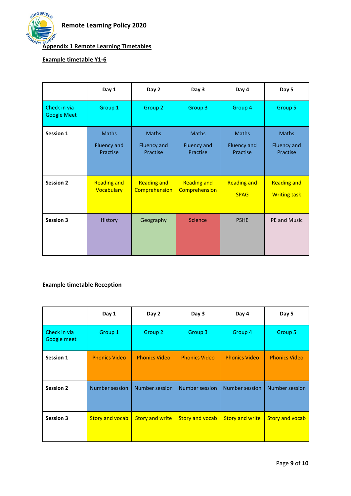

# **Appendix 1 Remote Learning Timetables**

# **Example timetable Y1-6**

|                                    | Day 1                                          | Day 2                                          | Day 3                                          | Day 4                                   | Day 5                                     |
|------------------------------------|------------------------------------------------|------------------------------------------------|------------------------------------------------|-----------------------------------------|-------------------------------------------|
| Check in via<br><b>Google Meet</b> | Group 1                                        | Group 2                                        | Group 3                                        | Group 4                                 | Group 5                                   |
| Session 1                          | <b>Maths</b><br><b>Fluency and</b><br>Practise | <b>Maths</b><br><b>Fluency and</b><br>Practise | <b>Maths</b><br><b>Fluency and</b><br>Practise | <b>Maths</b><br>Fluency and<br>Practise | <b>Maths</b><br>Fluency and<br>Practise   |
| <b>Session 2</b>                   | <b>Reading and</b><br>Vocabulary               | <b>Reading and</b><br>Comprehension            | <b>Reading and</b><br>Comprehension            | <b>Reading and</b><br><b>SPAG</b>       | <b>Reading and</b><br><b>Writing task</b> |
| <b>Session 3</b>                   | <b>History</b>                                 | Geography                                      | <b>Science</b>                                 | <b>PSHE</b>                             | PE and Music                              |

# **Example timetable Reception**

|                             | Day 1                  | Day 2                  | Day 3                  | Day 4                  | Day 5                  |
|-----------------------------|------------------------|------------------------|------------------------|------------------------|------------------------|
| Check in via<br>Google meet | Group 1                | Group 2                | Group 3                | Group 4                | Group 5                |
| Session 1                   | <b>Phonics Video</b>   | <b>Phonics Video</b>   | <b>Phonics Video</b>   | <b>Phonics Video</b>   | <b>Phonics Video</b>   |
| <b>Session 2</b>            | <b>Number session</b>  | <b>Number session</b>  | <b>Number session</b>  | Number session         | <b>Number session</b>  |
| <b>Session 3</b>            | <b>Story and vocab</b> | <b>Story and write</b> | <b>Story and vocab</b> | <b>Story and write</b> | <b>Story and vocab</b> |